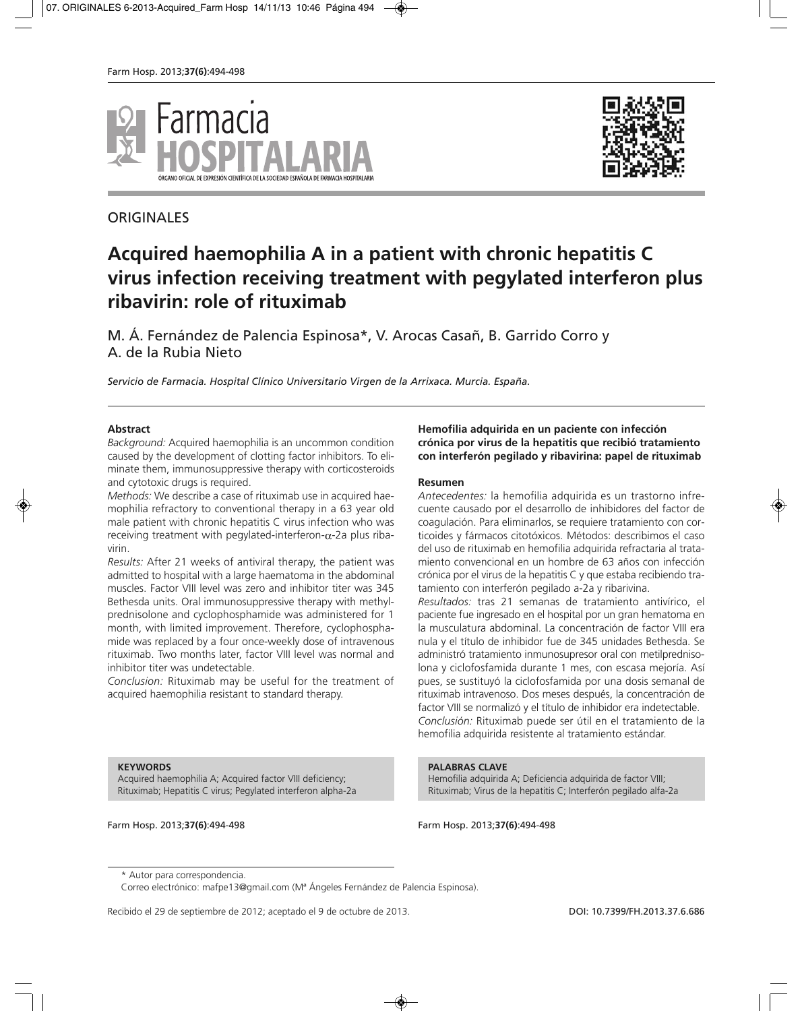



# **ORIGINALES**

# **Acquired haemophilia A in a patient with chronic hepatitis C virus infection receiving treatment with pegylated interferon plus ribavirin: role of rituximab**

M. Á. Fernández de Palencia Espinosa\*, V. Arocas Casañ, B. Garrido Corro y A. de la Rubia Nieto

*Servicio de Farmacia. Hospital Clínico Universitario Virgen de la Arrixaca. Murcia. España.*

#### **Abstract**

*Background:* Acquired haemophilia is an uncommon condition caused by the development of clotting factor inhibitors. To eliminate them, immunosuppressive therapy with corticosteroids and cytotoxic drugs is required.

*Methods:* We describe a case of rituximab use in acquired haemophilia refractory to conventional therapy in a 63 year old male patient with chronic hepatitis C virus infection who was receiving treatment with pegylated-interferon- $\alpha$ -2a plus ribavirin.

*Results:* After 21 weeks of antiviral therapy, the patient was admitted to hospital with a large haematoma in the abdominal muscles. Factor VIII level was zero and inhibitor titer was 345 Bethesda units. Oral immunosuppressive therapy with methylprednisolone and cyclophosphamide was administered for 1 month, with limited improvement. Therefore, cyclophosphamide was replaced by a four once-weekly dose of intravenous rituximab. Two months later, factor VIII level was normal and inhibitor titer was undetectable.

*Conclusion:* Rituximab may be useful for the treatment of acquired haemophilia resistant to standard therapy.

#### **Hemofilia adquirida en un paciente con infección crónica por virus de la hepatitis que recibió tratamiento con interferón pegilado y ribavirina: papel de rituximab**

#### **Resumen**

*Antecedentes:* la hemofilia adquirida es un trastorno infrecuente causado por el desarrollo de inhibidores del factor de coagulación. Para eliminarlos, se requiere tratamiento con corticoides y fármacos citotóxicos. Métodos: describimos el caso del uso de rituximab en hemofilia adquirida refractaria al tratamiento convencional en un hombre de 63 años con infección crónica por el virus de la hepatitis C y que estaba recibiendo tratamiento con interferón pegilado a-2a y ribarivina. *Resultados:* tras 21 semanas de tratamiento antivírico, el

paciente fue ingresado en el hospital por un gran hematoma en la musculatura abdominal. La concentración de factor VIII era nula y el título de inhibidor fue de 345 unidades Bethesda. Se administró tratamiento inmunosupresor oral con metilprednisolona y ciclofosfamida durante 1 mes, con escasa mejoría. Así pues, se sustituyó la ciclofosfamida por una dosis semanal de rituximab intravenoso. Dos meses después, la concentración de factor VIII se normalizó y el título de inhibidor era indetectable. *Conclusión:* Rituximab puede ser útil en el tratamiento de la hemofilia adquirida resistente al tratamiento estándar.

#### **KEYWORDS**

Acquired haemophilia A; Acquired factor VIII deficiency; Rituximab; Hepatitis C virus; Pegylated interferon alpha-2a

**PALABRAS CLAVE**

Hemofilia adquirida A; Deficiencia adquirida de factor VIII; Rituximab; Virus de la hepatitis C; Interferón pegilado alfa-2a

Farm Hosp. 2013;**37(6)**:494-498 Farm Hosp. 2013;**37(6)**:494-498

Recibido el 29 de septiembre de 2012; aceptado el 9 de octubre de 2013. **DOI: 10.7399/FH.2013.37.6.686** 

<sup>\*</sup> Autor para correspondencia.

Correo electrónico: mafpe13@gmail.com (Mª Ángeles Fernández de Palencia Espinosa).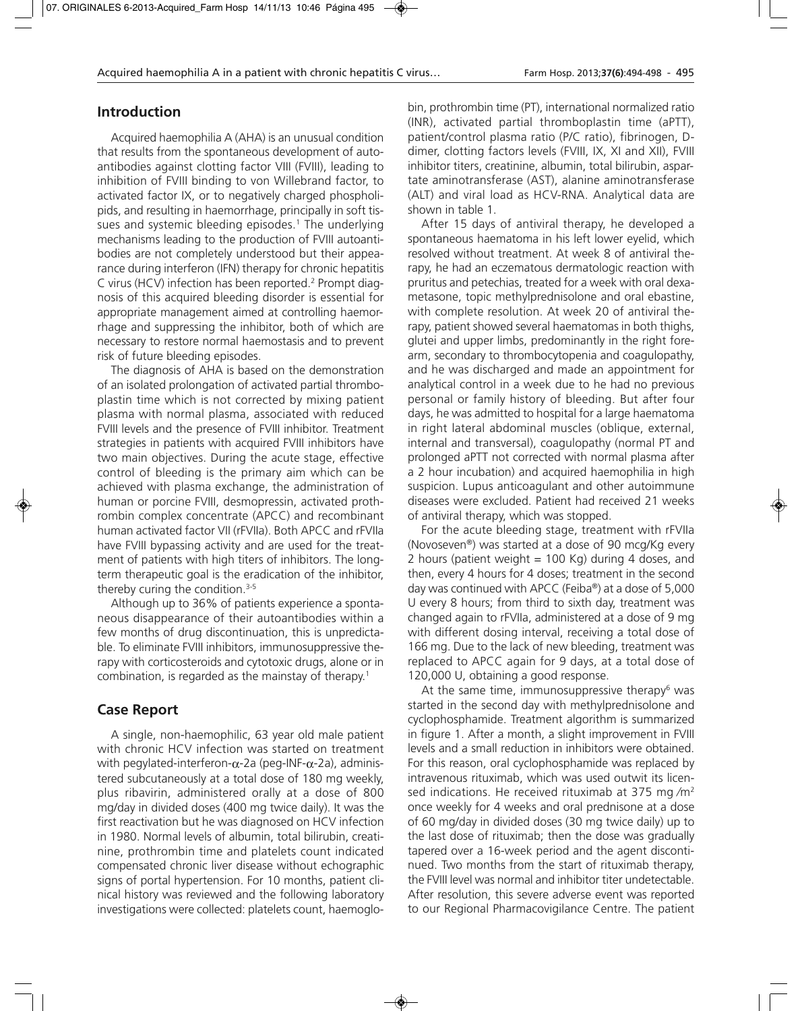## **Introduction**

Acquired haemophilia A (AHA) is an unusual condition that results from the spontaneous development of autoantibodies against clotting factor VIII (FVIII), leading to inhibition of FVIII binding to von Willebrand factor, to activated factor IX, or to negatively charged phospholipids, and resulting in haemorrhage, principally in soft tissues and systemic bleeding episodes.<sup>1</sup> The underlying mechanisms leading to the production of FVIII autoantibodies are not completely understood but their appearance during interferon (IFN) therapy for chronic hepatitis C virus (HCV) infection has been reported.2 Prompt diagnosis of this acquired bleeding disorder is essential for appropriate management aimed at controlling haemorrhage and suppressing the inhibitor, both of which are necessary to restore normal haemostasis and to prevent risk of future bleeding episodes.

The diagnosis of AHA is based on the demonstration of an isolated prolongation of activated partial thromboplastin time which is not corrected by mixing patient plasma with normal plasma, associated with reduced FVIII levels and the presence of FVIII inhibitor. Treatment strategies in patients with acquired FVIII inhibitors have two main objectives. During the acute stage, effective control of bleeding is the primary aim which can be achieved with plasma exchange, the administration of human or porcine FVIII, desmopressin, activated prothrombin complex concentrate (APCC) and recombinant human activated factor VII (rFVIIa). Both APCC and rFVIIa have FVIII bypassing activity and are used for the treatment of patients with high titers of inhibitors. The longterm therapeutic goal is the eradication of the inhibitor, thereby curing the condition.3-5

Although up to 36% of patients experience a spontaneous disappearance of their autoantibodies within a few months of drug discontinuation, this is unpredictable. To eliminate FVIII inhibitors, immunosuppressive therapy with corticosteroids and cytotoxic drugs, alone or in combination, is regarded as the mainstay of therapy.1

## **Case Report**

A single, non-haemophilic, 63 year old male patient with chronic HCV infection was started on treatment with pegylated-interferon- $\alpha$ -2a (peg-INF- $\alpha$ -2a), administered subcutaneously at a total dose of 180 mg weekly, plus ribavirin, administered orally at a dose of 800 mg/day in divided doses (400 mg twice daily). It was the first reactivation but he was diagnosed on HCV infection in 1980. Normal levels of albumin, total bilirubin, creatinine, prothrombin time and platelets count indicated compensated chronic liver disease without echographic signs of portal hypertension. For 10 months, patient clinical history was reviewed and the following laboratory investigations were collected: platelets count, haemoglobin, prothrombin time (PT), international normalized ratio (INR), activated partial thromboplastin time (aPTT), patient/control plasma ratio (P/C ratio), fibrinogen, Ddimer, clotting factors levels (FVIII, IX, XI and XII), FVIII inhibitor titers, creatinine, albumin, total bilirubin, aspartate aminotransferase (AST), alanine aminotransferase (ALT) and viral load as HCV-RNA. Analytical data are shown in table 1.

After 15 days of antiviral therapy, he developed a spontaneous haematoma in his left lower eyelid, which resolved without treatment. At week 8 of antiviral therapy, he had an eczematous dermatologic reaction with pruritus and petechias, treated for a week with oral dexametasone, topic methylprednisolone and oral ebastine, with complete resolution. At week 20 of antiviral therapy, patient showed several haematomas in both thighs, glutei and upper limbs, predominantly in the right forearm, secondary to thrombocytopenia and coagulopathy, and he was discharged and made an appointment for analytical control in a week due to he had no previous personal or family history of bleeding. But after four days, he was admitted to hospital for a large haematoma in right lateral abdominal muscles (oblique, external, internal and transversal), coagulopathy (normal PT and prolonged aPTT not corrected with normal plasma after a 2 hour incubation) and acquired haemophilia in high suspicion. Lupus anticoagulant and other autoimmune diseases were excluded. Patient had received 21 weeks of antiviral therapy, which was stopped.

For the acute bleeding stage, treatment with rFVIIa (Novoseven®) was started at a dose of 90 mcg/Kg every 2 hours (patient weight  $= 100$  Kg) during 4 doses, and then, every 4 hours for 4 doses; treatment in the second day was continued with APCC (Feiba®) at a dose of 5,000 U every 8 hours; from third to sixth day, treatment was changed again to rFVIIa, administered at a dose of 9 mg with different dosing interval, receiving a total dose of 166 mg. Due to the lack of new bleeding, treatment was replaced to APCC again for 9 days, at a total dose of 120,000 U, obtaining a good response.

At the same time, immunosuppressive therapy $6 \text{ was}$ started in the second day with methylprednisolone and cyclophosphamide. Treatment algorithm is summarized in figure 1. After a month, a slight improvement in FVIII levels and a small reduction in inhibitors were obtained. For this reason, oral cyclophosphamide was replaced by intravenous rituximab, which was used outwit its licensed indications. He received rituximab at 375 mg/m<sup>2</sup> once weekly for 4 weeks and oral prednisone at a dose of 60 mg/day in divided doses (30 mg twice daily) up to the last dose of rituximab; then the dose was gradually tapered over a 16-week period and the agent discontinued. Two months from the start of rituximab therapy, the FVIII level was normal and inhibitor titer undetectable. After resolution, this severe adverse event was reported to our Regional Pharmacovigilance Centre. The patient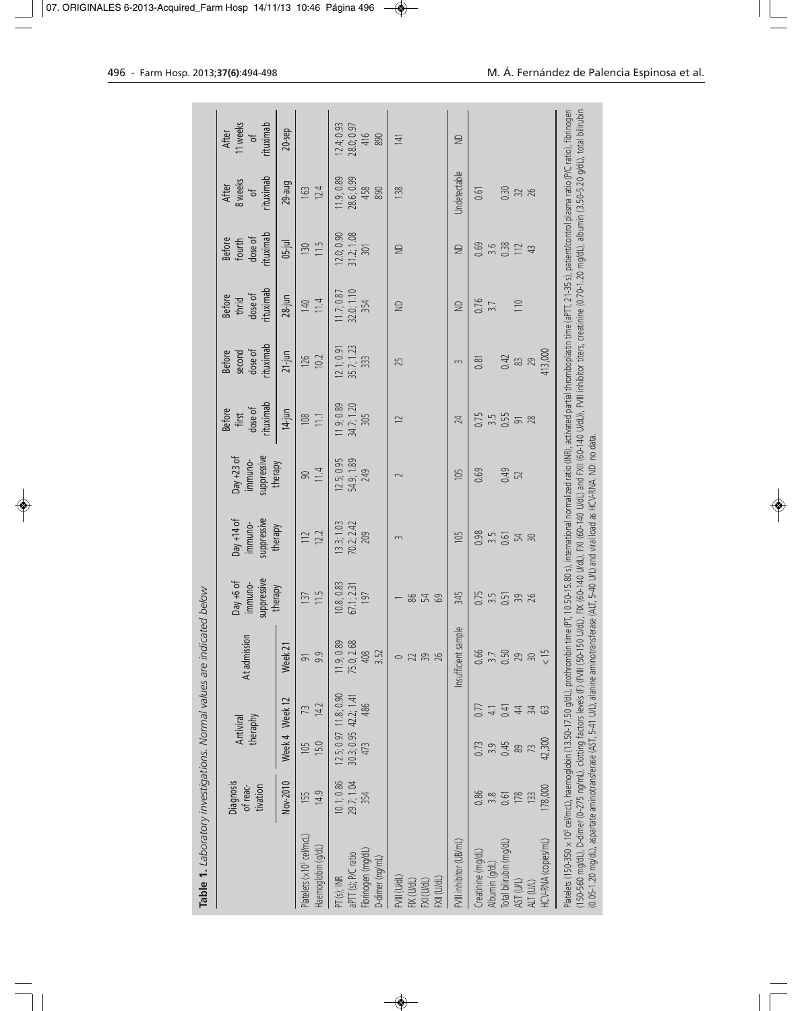|                                                                                                                  | theraphy<br>Antiviral                                            | At admission                            | suppressive<br>Day +6 of<br>immuno- | suppressive<br>$Day + 14$ of<br>immuno- | suppressive<br>Day +23 of<br>immuno- | rituximab<br>dose of<br><b>Before</b><br>first | rituximab<br>dose of<br>second<br><b>Before</b> | rituximab<br>dose of<br><b>Before</b><br>thrid | rituximab<br>dose of<br><b>Before</b><br>fourth | rituximab<br>8 weeks<br>After<br>$\overline{5}$ | 11 weeks<br>rituximab<br>After<br>$\frac{1}{\sqrt{2}}$ |
|------------------------------------------------------------------------------------------------------------------|------------------------------------------------------------------|-----------------------------------------|-------------------------------------|-----------------------------------------|--------------------------------------|------------------------------------------------|-------------------------------------------------|------------------------------------------------|-------------------------------------------------|-------------------------------------------------|--------------------------------------------------------|
| Nov-2010                                                                                                         | Week 4 Week 12                                                   | Week <sub>21</sub>                      | therapy                             | therapy                                 | therapy                              | $14$ -jun                                      | $21$ -jun                                       | $28$ -jun                                      | $05-jul$                                        | 29-aug                                          | $20$ -sep                                              |
| 14.9<br>155<br>Platelets (x10 <sup>3</sup> cel/mcL)<br>Haemoglobin (g/dL)                                        | 14.2<br>73<br>15.0<br><b>SQI</b>                                 | 9.9<br>$\overline{5}$                   | 11.5<br>137                         | 12.2<br>112                             | 11.4<br>90                           | 11.1<br>$\frac{108}{2}$                        | 10.2<br>126                                     | 11.4<br>140                                    | 11.5<br>130                                     | 12.4<br>163                                     |                                                        |
| 10.1;0.86<br>29.7; 1.04<br>354<br>Fibrinogen (mg/dL)<br>aPTT (s); P/C ratio<br>D-dimer (ng/mL)<br>$PT (s)$ ; INR | $12.5, 0.97$ $11.8, 0.90$<br>30.3; 0.95 42.2; 1.41<br>486<br>473 | 11.9; 0.89<br>75.0; 2.68<br>408<br>3.52 | 10.8; 0.83<br>67.1; 2.31<br>197     | 13.3; 1.03<br>70.2; 2.42<br>209         | $12.5; 0.95$<br>54.9; 1.89<br>249    | 1.9, 0.89<br>34.7; 1.20<br>305                 | 35.7; 1.23<br>12.1;0.91<br>333                  | 32.0, 1.10<br>11.7;0.87<br>354                 | 31.2; 1.08<br>12.0, 0.90<br>$\overline{301}$    | 28.6; 0.99<br>11.9; 0.89<br>458<br>890          | $12.4, 0.93$<br>$28.0, 0.97$<br>416<br>890             |
| FVIII (U/dL<br>FXII (U/dL)<br>FIX (U/dL)<br>FXI (U/dL)                                                           |                                                                  | 23.88<br>$\circ$                        | <b>28</b> &<br>69                   | 3                                       | $\sim$                               | $\approx$                                      | 25                                              | $\supseteq$                                    | €                                               | 138                                             | 141                                                    |
| FVIII inhibitor (UB/mL)                                                                                          |                                                                  | Insufficient sample                     | 345                                 | 105                                     | 105                                  | 24                                             | 3                                               | €                                              | $\supseteq$                                     | <b>Jndetectable</b>                             | $\supseteq$                                            |
| 0.86<br>3.8<br>Creatinine (mg/dL)<br>Albumin (g/dL                                                               | 0.77<br>4.1<br>3.9                                               | 0.66<br>$\overline{3}$ .7               | $0.75$<br>3.5<br>0.51               | 0.98<br>$3.5$<br>$0.61$                 | 0.69                                 | 0.75<br>3.5                                    | 0.81                                            | 0.76<br>$\overline{3.7}$                       | 0.69<br>3.6                                     | 0.61                                            |                                                        |
| 178<br>0.61<br>Total bilirubin (mo/dL)<br>AST (U/L)                                                              | 0.41<br>$\overline{4}$<br>0.45<br>89                             | 0.50<br>29                              |                                     | 멏                                       | 0.49<br>52                           | $\frac{55}{91}$                                | 0.42                                            | 110                                            | 0.38<br>112                                     | 0.30                                            |                                                        |
| 178,000<br>133<br>HCV-RNA (copies/mL)<br>ALT (U/L)                                                               | $\frac{1}{2}$<br>ය<br>42,300                                     | $\leq 15$<br>$\sqrt{2}$                 | 826                                 | $\approx$                               |                                      |                                                | 413,000<br><b>83 ga</b>                         |                                                | 43                                              | 328                                             |                                                        |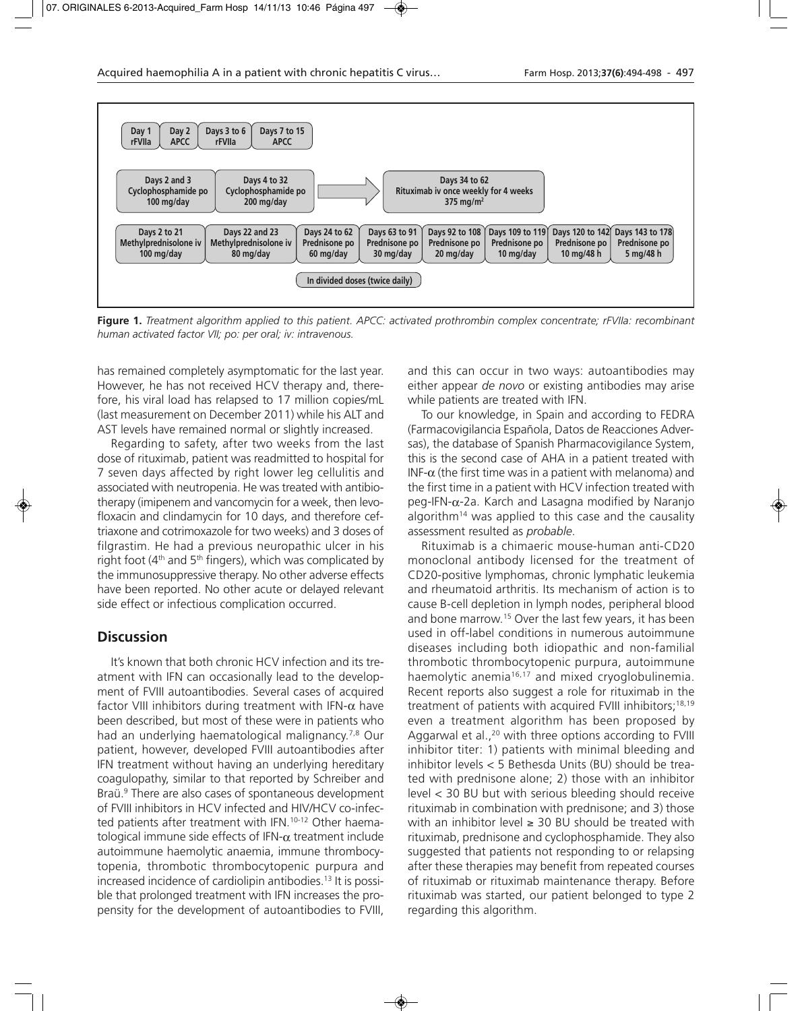

**Figure 1.** *Treatment algorithm applied to this patient. APCC: activated prothrombin complex concentrate; rFVIIa: recombinant human activated factor VII; po: per oral; iv: intravenous.*

has remained completely asymptomatic for the last year. However, he has not received HCV therapy and, therefore, his viral load has relapsed to 17 million copies/mL (last measurement on December 2011) while his ALT and AST levels have remained normal or slightly increased.

Regarding to safety, after two weeks from the last dose of rituximab, patient was readmitted to hospital for 7 seven days affected by right lower leg cellulitis and associated with neutropenia. He was treated with antibiotherapy (imipenem and vancomycin for a week, then levofloxacin and clindamycin for 10 days, and therefore ceftriaxone and cotrimoxazole for two weeks) and 3 doses of filgrastim. He had a previous neuropathic ulcer in his right foot (4<sup>th</sup> and 5<sup>th</sup> fingers), which was complicated by the immunosuppressive therapy. No other adverse effects have been reported. No other acute or delayed relevant side effect or infectious complication occurred.

## **Discussion**

It's known that both chronic HCV infection and its treatment with IFN can occasionally lead to the development of FVIII autoantibodies. Several cases of acquired factor VIII inhibitors during treatment with IFN- $\alpha$  have been described, but most of these were in patients who had an underlying haematological malignancy.7,8 Our patient, however, developed FVIII autoantibodies after IFN treatment without having an underlying hereditary coagulopathy, similar to that reported by Schreiber and Braü.<sup>9</sup> There are also cases of spontaneous development of FVIII inhibitors in HCV infected and HIV/HCV co-infected patients after treatment with IFN.<sup>10-12</sup> Other haematological immune side effects of IFN- $\alpha$  treatment include autoimmune haemolytic anaemia, immune thrombocytopenia, thrombotic thrombocytopenic purpura and increased incidence of cardiolipin antibodies.13 It is possible that prolonged treatment with IFN increases the propensity for the development of autoantibodies to FVIII,

and this can occur in two ways: autoantibodies may either appear *de novo* or existing antibodies may arise while patients are treated with IFN.

To our knowledge, in Spain and according to FEDRA (Farmacovigilancia Española, Datos de Reacciones Adversas), the database of Spanish Pharmacovigilance System, this is the second case of AHA in a patient treated with INF- $\alpha$  (the first time was in a patient with melanoma) and the first time in a patient with HCV infection treated with  $peq$ -IFN- $\alpha$ -2a. Karch and Lasagna modified by Naranjo algorithm<sup>14</sup> was applied to this case and the causality assessment resulted as *probable*.

Rituximab is a chimaeric mouse-human anti-CD20 monoclonal antibody licensed for the treatment of CD20-positive lymphomas, chronic lymphatic leukemia and rheumatoid arthritis. Its mechanism of action is to cause B-cell depletion in lymph nodes, peripheral blood and bone marrow.15 Over the last few years, it has been used in off-label conditions in numerous autoimmune diseases including both idiopathic and non-familial thrombotic thrombocytopenic purpura, autoimmune haemolytic anemia<sup>16,17</sup> and mixed cryoglobulinemia. Recent reports also suggest a role for rituximab in the treatment of patients with acquired FVIII inhibitors;<sup>18,19</sup> even a treatment algorithm has been proposed by Aggarwal et al.,<sup>20</sup> with three options according to FVIII inhibitor titer: 1) patients with minimal bleeding and inhibitor levels < 5 Bethesda Units (BU) should be treated with prednisone alone; 2) those with an inhibitor level < 30 BU but with serious bleeding should receive rituximab in combination with prednisone; and 3) those with an inhibitor level ≥ 30 BU should be treated with rituximab, prednisone and cyclophosphamide. They also suggested that patients not responding to or relapsing after these therapies may benefit from repeated courses of rituximab or rituximab maintenance therapy. Before rituximab was started, our patient belonged to type 2 regarding this algorithm.